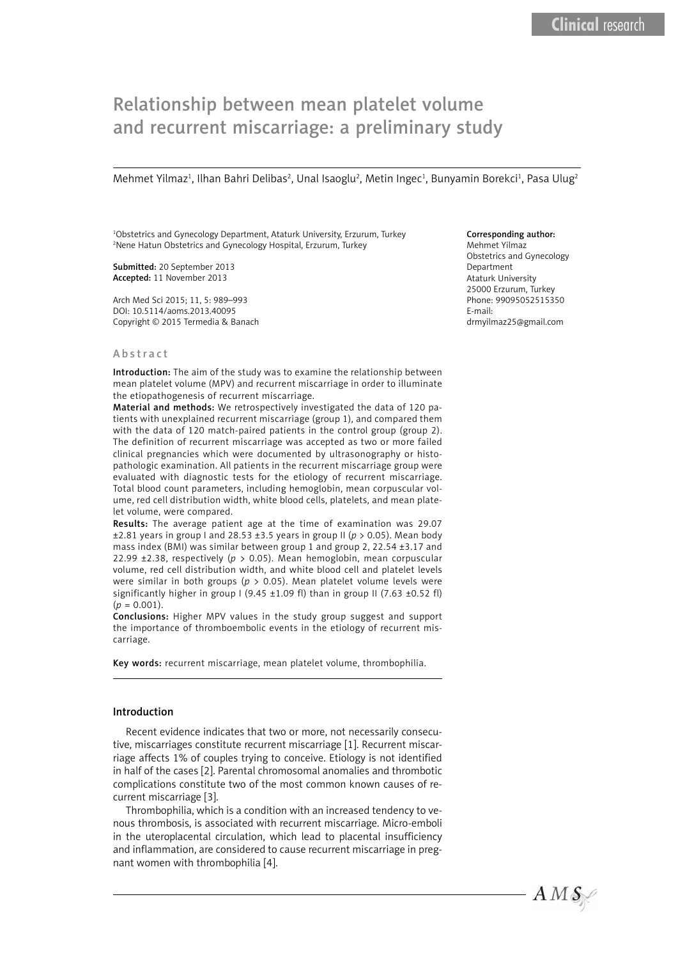# Relationship between mean platelet volume and recurrent miscarriage: a preliminary study

Mehmet Yilmaz<sup>ı</sup>, Ilhan Bahri Delibas<sup>2</sup>, Unal Isaoglu<sup>2</sup>, Metin Ingec<sup>ı</sup>, Bunyamin Borekci<sup>1</sup>, Pasa Ulug<sup>2</sup>

1 Obstetrics and Gynecology Department, Ataturk University, Erzurum, Turkey 2 Nene Hatun Obstetrics and Gynecology Hospital, Erzurum, Turkey

Submitted: 20 September 2013 Accepted: 11 November 2013

Arch Med Sci 2015; 11, 5: 989–993 DOI: 10.5114/aoms.2013.40095 Copyright © 2015 Termedia & Banach

#### Abstract

Introduction: The aim of the study was to examine the relationship between mean platelet volume (MPV) and recurrent miscarriage in order to illuminate the etiopathogenesis of recurrent miscarriage.

Material and methods: We retrospectively investigated the data of 120 patients with unexplained recurrent miscarriage (group 1), and compared them with the data of 120 match-paired patients in the control group (group 2). The definition of recurrent miscarriage was accepted as two or more failed clinical pregnancies which were documented by ultrasonography or histopathologic examination. All patients in the recurrent miscarriage group were evaluated with diagnostic tests for the etiology of recurrent miscarriage. Total blood count parameters, including hemoglobin, mean corpuscular volume, red cell distribution width, white blood cells, platelets, and mean platelet volume, were compared.

Results: The average patient age at the time of examination was 29.07 ±2.81 years in group I and 28.53 ±3.5 years in group II (*p* > 0.05). Mean body mass index (BMI) was similar between group 1 and group 2, 22.54 ±3.17 and 22.99 ±2.38, respectively (*p* > 0.05). Mean hemoglobin, mean corpuscular volume, red cell distribution width, and white blood cell and platelet levels were similar in both groups (*p* > 0.05). Mean platelet volume levels were significantly higher in group I (9.45  $\pm$ 1.09 fl) than in group II (7.63  $\pm$ 0.52 fl)  $(p = 0.001)$ .

Conclusions: Higher MPV values in the study group suggest and support the importance of thromboembolic events in the etiology of recurrent miscarriage.

Key words: recurrent miscarriage, mean platelet volume, thrombophilia.

#### Introduction

Recent evidence indicates that two or more, not necessarily consecutive, miscarriages constitute recurrent miscarriage [1]. Recurrent miscarriage affects 1% of couples trying to conceive. Etiology is not identified in half of the cases [2]. Parental chromosomal anomalies and thrombotic complications constitute two of the most common known causes of recurrent miscarriage [3].

Thrombophilia, which is a condition with an increased tendency to venous thrombosis, is associated with recurrent miscarriage. Micro-emboli in the uteroplacental circulation, which lead to placental insufficiency and inflammation, are considered to cause recurrent miscarriage in pregnant women with thrombophilia [4].

## Corresponding author:

Mehmet Yilmaz Obstetrics and Gynecology Department Ataturk University 25000 Erzurum, Turkey Phone: 99095052515350 E-mail: [drmyilmaz25@gmail.com](mailto:drmyilmaz25@gmail.com)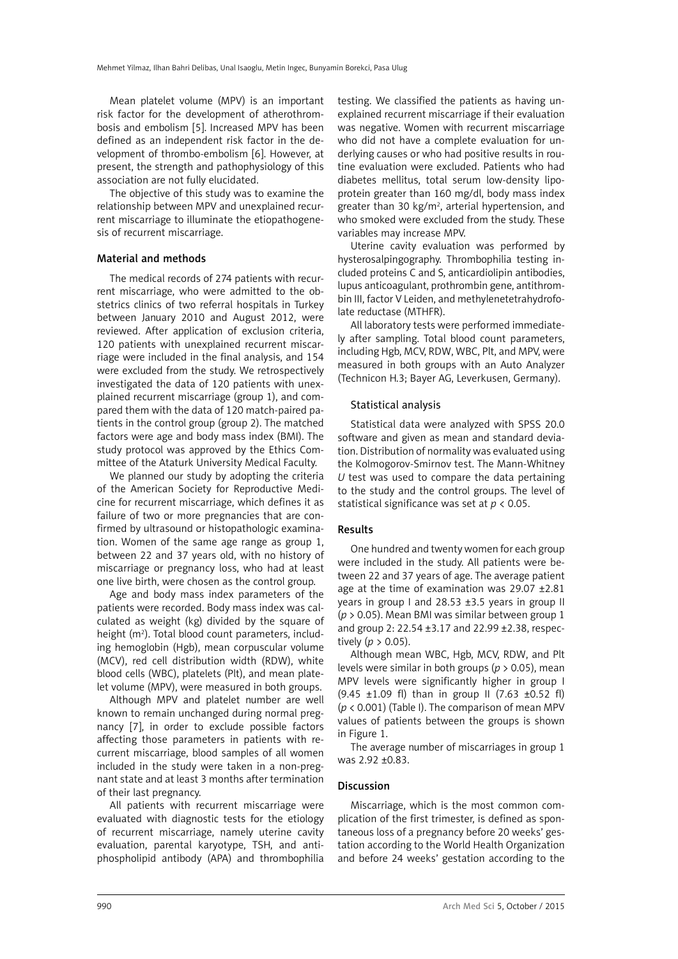Mean platelet volume (MPV) is an important risk factor for the development of atherothrombosis and embolism [5]. Increased MPV has been defined as an independent risk factor in the development of thrombo-embolism [6]. However, at present, the strength and pathophysiology of this association are not fully elucidated.

The objective of this study was to examine the relationship between MPV and unexplained recurrent miscarriage to illuminate the etiopathogenesis of recurrent miscarriage.

## Material and methods

The medical records of 274 patients with recurrent miscarriage, who were admitted to the obstetrics clinics of two referral hospitals in Turkey between January 2010 and August 2012, were reviewed. After application of exclusion criteria, 120 patients with unexplained recurrent miscarriage were included in the final analysis, and 154 were excluded from the study. We retrospectively investigated the data of 120 patients with unexplained recurrent miscarriage (group 1), and compared them with the data of 120 match-paired patients in the control group (group 2). The matched factors were age and body mass index (BMI). The study protocol was approved by the Ethics Committee of the Ataturk University Medical Faculty.

We planned our study by adopting the criteria of the American Society for Reproductive Medicine for recurrent miscarriage, which defines it as failure of two or more pregnancies that are confirmed by ultrasound or histopathologic examination. Women of the same age range as group 1, between 22 and 37 years old, with no history of miscarriage or pregnancy loss, who had at least one live birth, were chosen as the control group.

Age and body mass index parameters of the patients were recorded. Body mass index was calculated as weight (kg) divided by the square of height (m<sup>2</sup>). Total blood count parameters, including hemoglobin (Hgb), mean corpuscular volume (MCV), red cell distribution width (RDW), white blood cells (WBC), platelets (Plt), and mean platelet volume (MPV), were measured in both groups.

Although MPV and platelet number are well known to remain unchanged during normal pregnancy [7], in order to exclude possible factors affecting those parameters in patients with recurrent miscarriage, blood samples of all women included in the study were taken in a non-pregnant state and at least 3 months after termination of their last pregnancy.

All patients with recurrent miscarriage were evaluated with diagnostic tests for the etiology of recurrent miscarriage, namely uterine cavity evaluation, parental karyotype, TSH, and antiphospholipid antibody (APA) and thrombophilia testing. We classified the patients as having unexplained recurrent miscarriage if their evaluation was negative. Women with recurrent miscarriage who did not have a complete evaluation for underlying causes or who had positive results in routine evaluation were excluded. Patients who had diabetes mellitus, total serum low-density lipoprotein greater than 160 mg/dl, body mass index greater than 30 kg/m<sup>2</sup>, arterial hypertension, and who smoked were excluded from the study. These variables may increase MPV.

Uterine cavity evaluation was performed by hysterosalpingography. Thrombophilia testing included proteins C and S, anticardiolipin antibodies, lupus anticoagulant, prothrombin gene, antithrombin III, factor V Leiden, and methylenetetrahydrofolate reductase (MTHFR).

All laboratory tests were performed immediately after sampling. Total blood count parameters, including Hgb, MCV, RDW, WBC, Plt, and MPV, were measured in both groups with an Auto Analyzer (Technicon H.3; Bayer AG, Leverkusen, Germany).

# Statistical analysis

Statistical data were analyzed with SPSS 20.0 software and given as mean and standard deviation. Distribution of normality was evaluated using the Kolmogorov-Smirnov test. The Mann-Whitney *U* test was used to compare the data pertaining to the study and the control groups. The level of statistical significance was set at *p* < 0.05.

## Results

One hundred and twenty women for each group were included in the study. All patients were between 22 and 37 years of age. The average patient age at the time of examination was 29.07 ±2.81 years in group I and 28.53 ±3.5 years in group II (*p* > 0.05). Mean BMI was similar between group 1 and group 2: 22.54 ±3.17 and 22.99 ±2.38, respectively  $(p > 0.05)$ .

Although mean WBC, Hgb, MCV, RDW, and Plt levels were similar in both groups (*p* > 0.05), mean MPV levels were significantly higher in group I  $(9.45 \pm 1.09 \text{ fl})$  than in group II  $(7.63 \pm 0.52 \text{ fl})$ (*p* < 0.001) (Table I). The comparison of mean MPV values of patients between the groups is shown in Figure 1.

The average number of miscarriages in group 1 was 2.92 ±0.83.

# Discussion

Miscarriage, which is the most common complication of the first trimester, is defined as spontaneous loss of a pregnancy before 20 weeks' gestation according to the World Health Organization and before 24 weeks' gestation according to the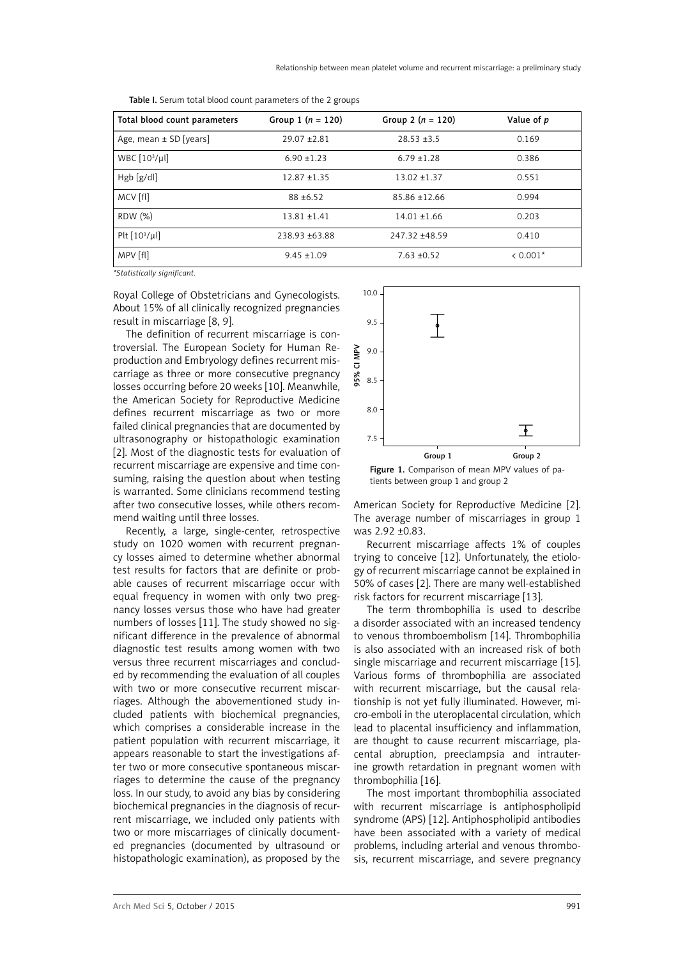| Total blood count parameters | Group 1 $(n = 120)$ | Group 2 $(n = 120)$ | Value of p |
|------------------------------|---------------------|---------------------|------------|
| Age, mean $\pm$ SD [years]   | $29.07 + 2.81$      | $28.53 + 3.5$       | 0.169      |
| WBC $[10^3/\mu]$             | $6.90 \pm 1.23$     | $6.79 \pm 1.28$     | 0.386      |
| Hgb [g/dl]                   | $12.87 + 1.35$      | $13.02 + 1.37$      | 0.551      |
| MCV [fl]                     | $88 + 6.52$         | $85.86 \pm 12.66$   | 0.994      |
| RDW (%)                      | $13.81 \pm 1.41$    | $14.01 \pm 1.66$    | 0.203      |
| Plt $[10^3/\mu]$             | 238.93 +63.88       | 247.32 +48.59       | 0.410      |
| MPV [fl]                     | $9.45 \pm 1.09$     | $7.63 \pm 0.52$     | $0.001*$   |

Table I. Serum total blood count parameters of the 2 groups

*\*Statistically significant.*

Royal College of Obstetricians and Gynecologists. About 15% of all clinically recognized pregnancies result in miscarriage [8, 9].

The definition of recurrent miscarriage is controversial. The European Society for Human Reproduction and Embryology defines recurrent miscarriage as three or more consecutive pregnancy losses occurring before 20 weeks [10]. Meanwhile, the American Society for Reproductive Medicine defines recurrent miscarriage as two or more failed clinical pregnancies that are documented by ultrasonography or histopathologic examination [2]. Most of the diagnostic tests for evaluation of recurrent miscarriage are expensive and time consuming, raising the question about when testing is warranted. Some clinicians recommend testing after two consecutive losses, while others recommend waiting until three losses.

Recently, a large, single-center, retrospective study on 1020 women with recurrent pregnancy losses aimed to determine whether abnormal test results for factors that are definite or probable causes of recurrent miscarriage occur with equal frequency in women with only two pregnancy losses versus those who have had greater numbers of losses [11]. The study showed no significant difference in the prevalence of abnormal diagnostic test results among women with two versus three recurrent miscarriages and concluded by recommending the evaluation of all couples with two or more consecutive recurrent miscarriages. Although the abovementioned study included patients with biochemical pregnancies, which comprises a considerable increase in the patient population with recurrent miscarriage, it appears reasonable to start the investigations after two or more consecutive spontaneous miscarriages to determine the cause of the pregnancy loss. In our study, to avoid any bias by considering biochemical pregnancies in the diagnosis of recurrent miscarriage, we included only patients with two or more miscarriages of clinically documented pregnancies (documented by ultrasound or histopathologic examination), as proposed by the



Figure 1. Comparison of mean MPV values of patients between group 1 and group 2

American Society for Reproductive Medicine [2]. The average number of miscarriages in group 1 was 2.92 ±0.83.

Recurrent miscarriage affects 1% of couples trying to conceive [12]. Unfortunately, the etiology of recurrent miscarriage cannot be explained in 50% of cases [2]. There are many well-established risk factors for recurrent miscarriage [13].

The term thrombophilia is used to describe a disorder associated with an increased tendency to venous thromboembolism [14]. Thrombophilia is also associated with an increased risk of both single miscarriage and recurrent miscarriage [15]. Various forms of thrombophilia are associated with recurrent miscarriage, but the causal relationship is not yet fully illuminated. However, micro-emboli in the uteroplacental circulation, which lead to placental insufficiency and inflammation, are thought to cause recurrent miscarriage, placental abruption, preeclampsia and intrauterine growth retardation in pregnant women with thrombophilia [16].

The most important thrombophilia associated with recurrent miscarriage is antiphospholipid syndrome (APS) [12]. Antiphospholipid antibodies have been associated with a variety of medical problems, including arterial and venous thrombosis, recurrent miscarriage, and severe pregnancy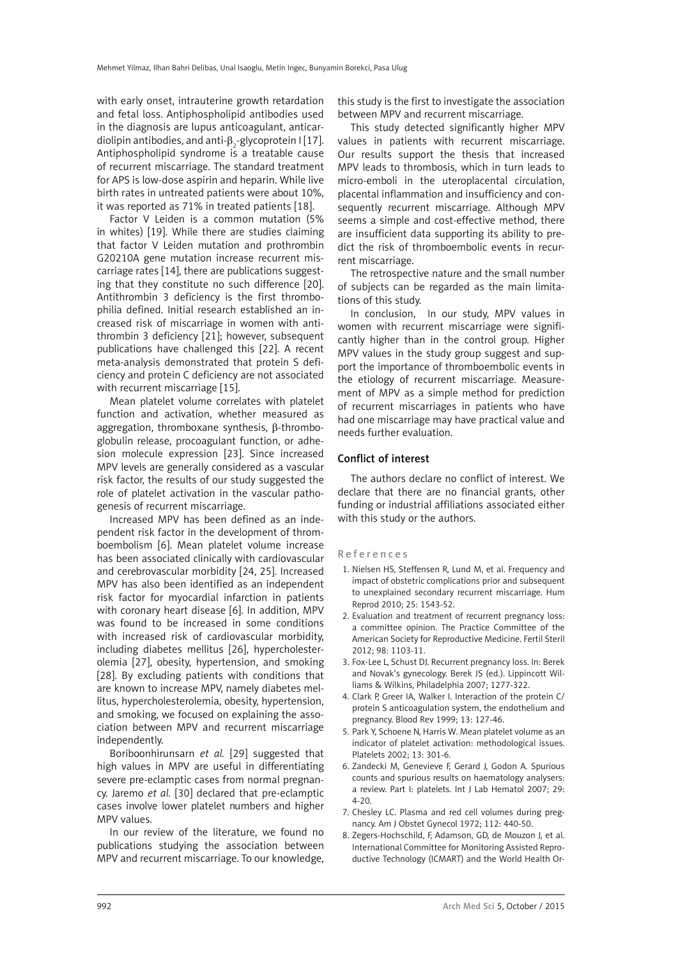with early onset, intrauterine growth retardation and fetal loss. Antiphospholipid antibodies used in the diagnosis are lupus anticoagulant, anticardiolipin antibodies, and anti- $\beta_2$ -glycoprotein I [17]. Antiphospholipid syndrome is a treatable cause of recurrent miscarriage. The standard treatment for APS is low-dose aspirin and heparin. While live birth rates in untreated patients were about 10%, it was reported as 71% in treated patients [18].

Factor V Leiden is a common mutation (5% in whites) [19]. While there are studies claiming that factor V Leiden mutation and prothrombin G20210A gene mutation increase recurrent miscarriage rates [14], there are publications suggesting that they constitute no such difference [20]. Antithrombin 3 deficiency is the first thrombophilia defined. Initial research established an increased risk of miscarriage in women with antithrombin 3 deficiency [21]; however, subsequent publications have challenged this [22]. A recent meta-analysis demonstrated that protein S deficiency and protein C deficiency are not associated with recurrent miscarriage [15].

Mean platelet volume correlates with platelet function and activation, whether measured as aggregation, thromboxane synthesis,  $\beta$ -thromboglobulin release, procoagulant function, or adhesion molecule expression [23]. Since increased MPV levels are generally considered as a vascular risk factor, the results of our study suggested the role of platelet activation in the vascular pathogenesis of recurrent miscarriage.

Increased MPV has been defined as an independent risk factor in the development of thromboembolism [6]. Mean platelet volume increase has been associated clinically with cardiovascular and cerebrovascular morbidity [24, 25]. Increased MPV has also been identified as an independent risk factor for myocardial infarction in patients with coronary heart disease [6]. In addition, MPV was found to be increased in some conditions with increased risk of cardiovascular morbidity, including diabetes mellitus [26], hypercholesterolemia [27], obesity, hypertension, and smoking [28]. By excluding patients with conditions that are known to increase MPV, namely diabetes mellitus, hypercholesterolemia, obesity, hypertension, and smoking, we focused on explaining the association between MPV and recurrent miscarriage independently.

Boriboonhirunsarn *et al.* [29] suggested that high values in MPV are useful in differentiating severe pre-eclamptic cases from normal pregnancy. Jaremo *et al.* [30] declared that pre-eclamptic cases involve lower platelet numbers and higher MPV values.

In our review of the literature, we found no publications studying the association between MPV and recurrent miscarriage. To our knowledge, this study is the first to investigate the association between MPV and recurrent miscarriage.

This study detected significantly higher MPV values in patients with recurrent miscarriage. Our results support the thesis that increased MPV leads to thrombosis, which in turn leads to micro-emboli in the uteroplacental circulation, placental inflammation and insufficiency and consequently recurrent miscarriage. Although MPV seems a simple and cost-effective method, there are insufficient data supporting its ability to predict the risk of thromboembolic events in recurrent miscarriage.

The retrospective nature and the small number of subjects can be regarded as the main limitations of this study.

In conclusion, In our study, MPV values in women with recurrent miscarriage were significantly higher than in the control group. Higher MPV values in the study group suggest and support the importance of thromboembolic events in the etiology of recurrent miscarriage. Measurement of MPV as a simple method for prediction of recurrent miscarriages in patients who have had one miscarriage may have practical value and needs further evaluation.

### Conflict of interest

The authors declare no conflict of interest. We declare that there are no financial grants, other funding or industrial affiliations associated either with this study or the authors.

### References

- 1. [Nielsen HS,](http://www.ncbi.nlm.nih.gov/pubmed?term=Nielsen HS%5BAuthor%5D&cauthor=true&cauthor_uid=20395221) [Steffensen R,](http://www.ncbi.nlm.nih.gov/pubmed?term=Steffensen R%5BAuthor%5D&cauthor=true&cauthor_uid=20395221) [Lund M,](http://www.ncbi.nlm.nih.gov/pubmed?term=Lund M%5BAuthor%5D&cauthor=true&cauthor_uid=20395221) et al. Frequency and impact of obstetric complications prior and subsequent to unexplained secondary recurrent miscarriage. [Hum](http://www.ncbi.nlm.nih.gov/pubmed?term=Nielsen HS%2C Steffensen R%2C Lund M%2C Egestad L%2C Mortensen LH%2C) [Reprod](http://www.ncbi.nlm.nih.gov/pubmed?term=Nielsen HS%2C Steffensen R%2C Lund M%2C Egestad L%2C Mortensen LH%2C) 2010; 25: 1543-52.
- 2. Evaluation and treatment of recurrent pregnancy loss: a committee opinion. [The Practice Committee of the](http://www.ncbi.nlm.nih.gov/pubmed?term=The Practice Committee of the American Society for Reproductive Medicine%5BCorporate Author%5D) [American Society for Reproductive Medicine](http://www.ncbi.nlm.nih.gov/pubmed?term=The Practice Committee of the American Society for Reproductive Medicine%5BCorporate Author%5D). [Fertil Steril](http://www.ncbi.nlm.nih.gov/pubmed/22835448) 2012; 98: 1103-11.
- 3. Fox-Lee L, Schust DJ. Recurrent pregnancy loss. In: Berek and Novak's gynecology. Berek JS (ed.). Lippincott Williams & Wilkins, Philadelphia 2007; 1277-322.
- 4. Clark P, Greer IA, Walker I. Interaction of the protein C/ protein S anticoagulation system, the endothelium and pregnancy. Blood Rev 1999; 13: 127-46.
- 5. Park Y, Schoene N, Harris W. Mean platelet volume as an indicator of platelet activation: methodological issues. Platelets 2002; 13: 301-6.
- 6. Zandecki M, Genevieve F, Gerard J, Godon A. Spurious counts and spurious results on haematology analysers: a review. Part I: platelets. Int J Lab Hematol 2007; 29: 4-20.
- 7. Chesley LC. Plasma and red cell volumes during pregnancy. Am J Obstet Gynecol 1972; 112: 440-50.
- 8. Zegers-Hochschild, F, Adamson, GD, de Mouzon J, et al. International Committee for Monitoring Assisted Reproductive Technology (ICMART) and the World Health Or-